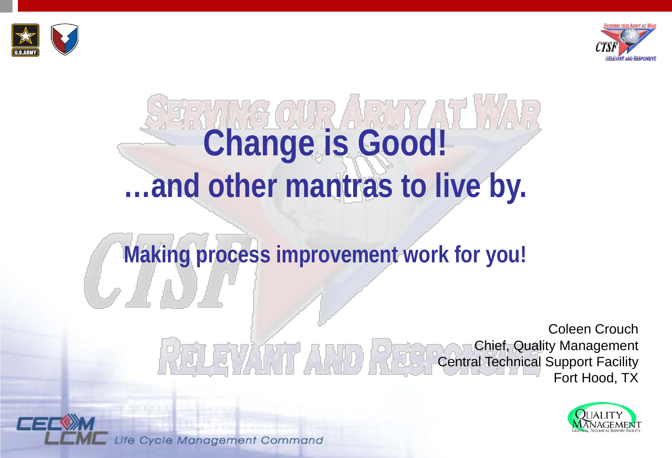



# **Change is Good! …and other mantras to live by.**

### **Making process improvement work for you!**

Coleen Crouch Chief, Quality Management FVANT A MINER Central Technical Support Facility Fort Hood, TX

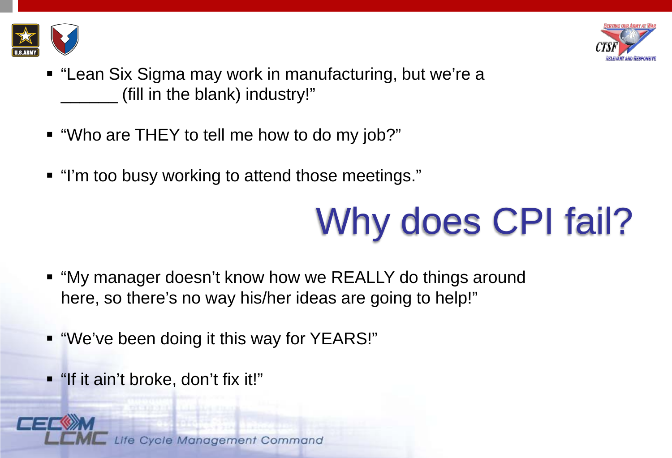



- "Lean Six Sigma may work in manufacturing, but we're a (fill in the blank) industry!"
- "Who are THEY to tell me how to do my job?"
- "I'm too busy working to attend those meetings."

### Why does CPI fail?

- "My manager doesn't know how we REALLY do things around here, so there's no way his/her ideas are going to help!"
- "We've been doing it this way for YEARS!"
- "If it ain't broke, don't fix it!"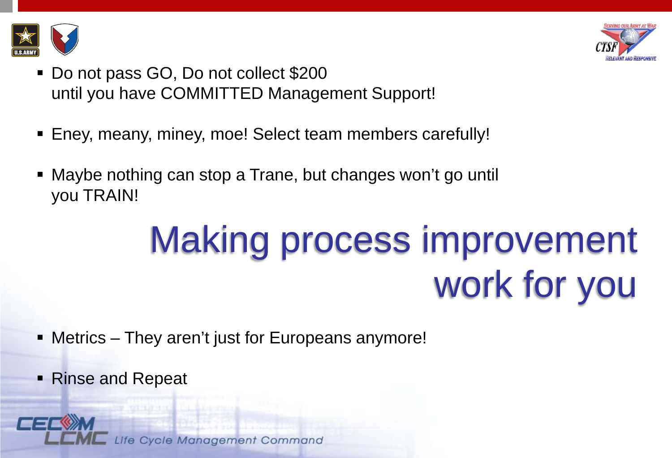



- Do not pass GO, Do not collect \$200 until you have COMMITTED Management Support!
- Eney, meany, miney, moe! Select team members carefully!
- Maybe nothing can stop a Trane, but changes won't go until you TRAIN!

### Making process improvement work for you

- Metrics They aren't just for Europeans anymore!
- Rinse and Repeat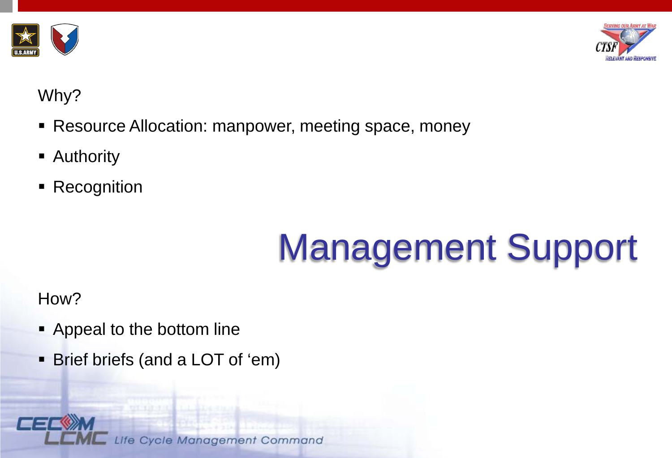



#### Why?

- **Resource Allocation: manpower, meeting space, money**
- **Authority**
- Recognition

## Management Support

How?

- **-** Appeal to the bottom line
- Brief briefs (and a LOT of 'em)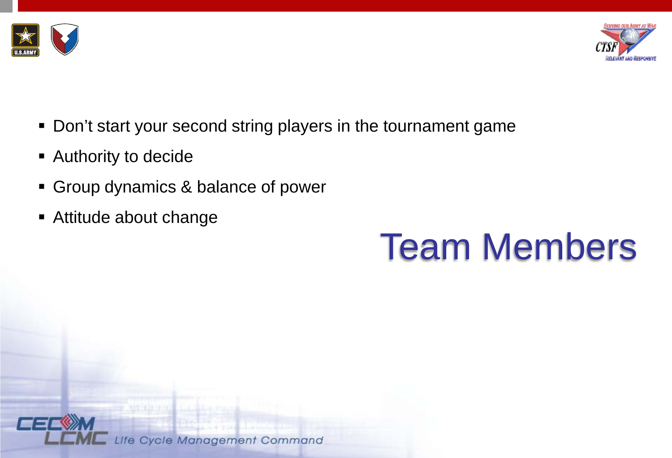



- **Don't start your second string players in the tournament game**
- **Authority to decide**
- **Group dynamics & balance of power**
- Attitude about change

### Team Members

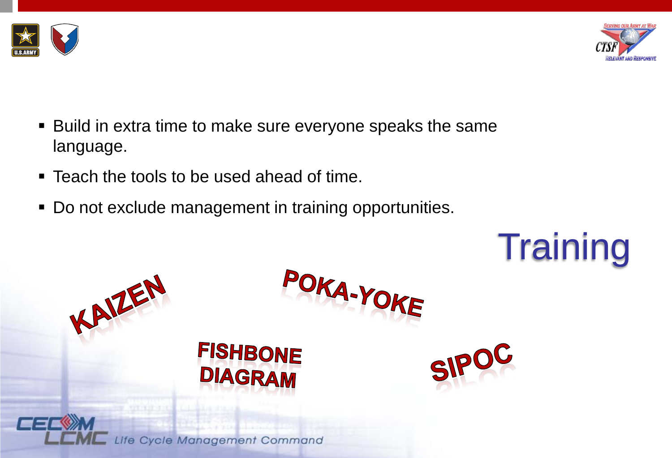



 Build in extra time to make sure everyone speaks the same language.

POKA-YOKE

- **Teach the tools to be used ahead of time.**
- Do not exclude management in training opportunities.

**FISHBONE** 

**DIAGRAM** 

**Training** 

SIPOC



KAIZEN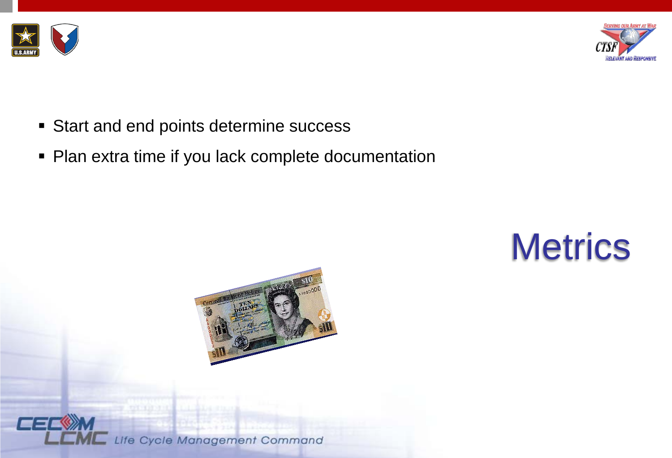



- **Start and end points determine success**
- Plan extra time if you lack complete documentation

### **Metrics**



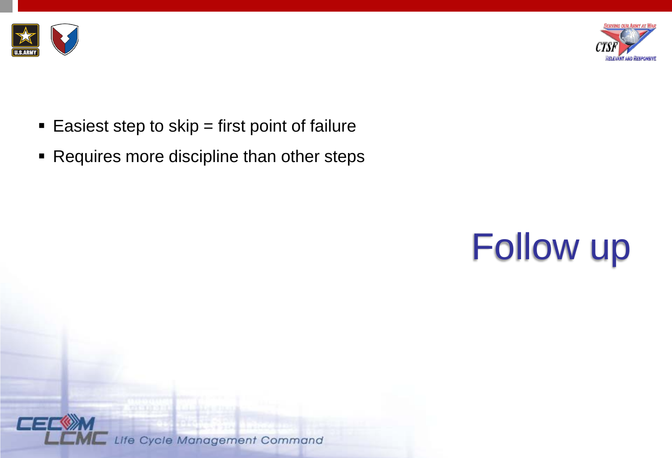



- Easiest step to skip  $=$  first point of failure
- **Requires more discipline than other steps**



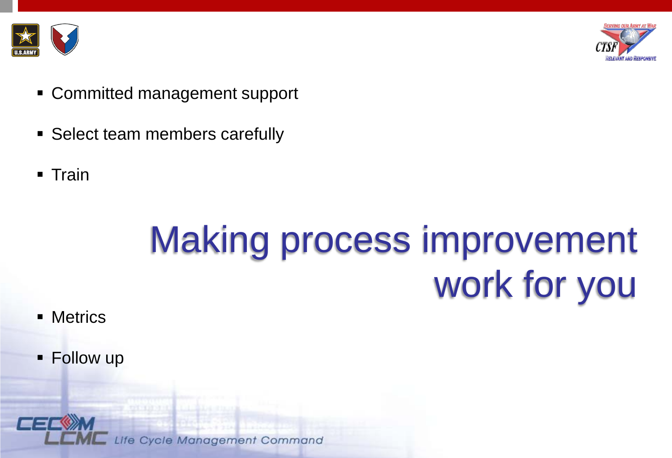



- Committed management support
- **Select team members carefully**
- $\blacksquare$  Train

### Making process improvement work for you

- **Metrics**
- **Follow up**